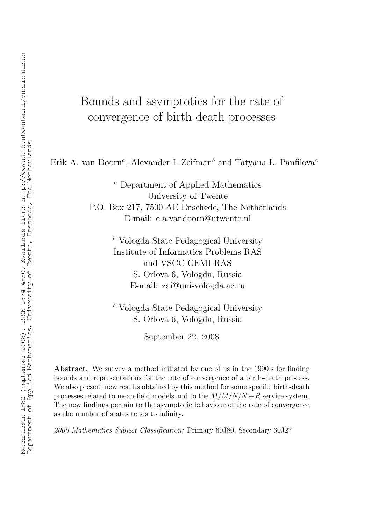# Bounds and asymptotics for the rate of convergence of birth-death processes

Erik A. van Doorn<sup>a</sup>, Alexander I. Zeifman<sup>b</sup> and Tatyana L. Panfilova<sup>c</sup>

<sup>a</sup> Department of Applied Mathematics University of Twente P.O. Box 217, 7500 AE Enschede, The Netherlands

E-mail: e.a.vandoorn@utwente.nl

 $\bar{b}$  Vologda State Pedagogical University Institute of Informatics Problems RAS and VSCC CEMI RAS S. Orlova 6, Vologda, Russia E-mail: zai@uni-vologda.ac.ru

<sup>c</sup> Vologda State Pedagogical University S. Orlova 6, Vologda, Russia

September 22, 2008

Abstract. We survey a method initiated by one of us in the 1990's for finding bounds and representations for the rate of convergence of a birth-death process. We also present new results obtained by this method for some specific birth-death processes related to mean-field models and to the  $M/M/N/N + R$  service system. The new findings pertain to the asymptotic behaviour of the rate of convergence as the number of states tends to infinity.

2000 Mathematics Subject Classification: Primary 60J80, Secondary 60J27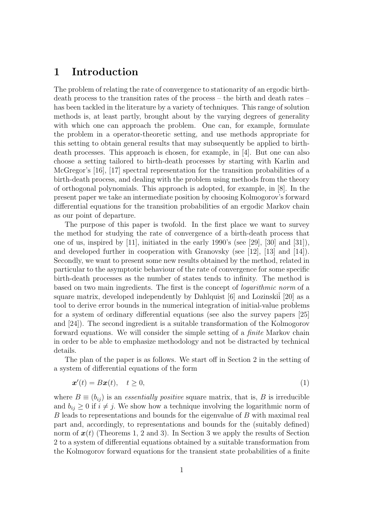## 1 Introduction

The problem of relating the rate of convergence to stationarity of an ergodic birthdeath process to the transition rates of the process – the birth and death rates – has been tackled in the literature by a variety of techniques. This range of solution methods is, at least partly, brought about by the varying degrees of generality with which one can approach the problem. One can, for example, formulate the problem in a operator-theoretic setting, and use methods appropriate for this setting to obtain general results that may subsequently be applied to birthdeath processes. This approach is chosen, for example, in [4]. But one can also choose a setting tailored to birth-death processes by starting with Karlin and McGregor's [16], [17] spectral representation for the transition probabilities of a birth-death process, and dealing with the problem using methods from the theory of orthogonal polynomials. This approach is adopted, for example, in [8]. In the present paper we take an intermediate position by choosing Kolmogorov's forward differential equations for the transition probabilities of an ergodic Markov chain as our point of departure.

The purpose of this paper is twofold. In the first place we want to survey the method for studying the rate of convergence of a birth-death process that one of us, inspired by [11], initiated in the early 1990's (see [29], [30] and [31]), and developed further in cooperation with Granovsky (see [12], [13] and [14]). Secondly, we want to present some new results obtained by the method, related in particular to the asymptotic behaviour of the rate of convergence for some specific birth-death processes as the number of states tends to infinity. The method is based on two main ingredients. The first is the concept of logarithmic norm of a square matrix, developed independently by Dahlquist  $[6]$  and Lozinskii<sup>[20]</sup> as a tool to derive error bounds in the numerical integration of initial-value problems for a system of ordinary differential equations (see also the survey papers [25] and [24]). The second ingredient is a suitable transformation of the Kolmogorov forward equations. We will consider the simple setting of a finite Markov chain in order to be able to emphasize methodology and not be distracted by technical details.

The plan of the paper is as follows. We start off in Section 2 in the setting of a system of differential equations of the form

$$
\boldsymbol{x}'(t) = B\boldsymbol{x}(t), \quad t \ge 0,\tag{1}
$$

where  $B \equiv (b_{ij})$  is an *essentially positive* square matrix, that is, B is irreducible and  $b_{ij} \geq 0$  if  $i \neq j$ . We show how a technique involving the logarithmic norm of B leads to representations and bounds for the eigenvalue of B with maximal real part and, accordingly, to representations and bounds for the (suitably defined) norm of  $x(t)$  (Theorems 1, 2 and 3). In Section 3 we apply the results of Section 2 to a system of differential equations obtained by a suitable transformation from the Kolmogorov forward equations for the transient state probabilities of a finite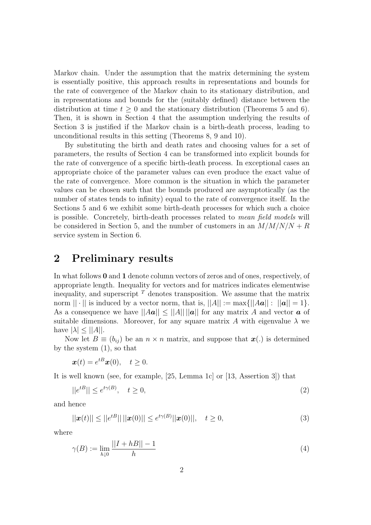Markov chain. Under the assumption that the matrix determining the system is essentially positive, this approach results in representations and bounds for the rate of convergence of the Markov chain to its stationary distribution, and in representations and bounds for the (suitably defined) distance between the distribution at time  $t \geq 0$  and the stationary distribution (Theorems 5 and 6). Then, it is shown in Section 4 that the assumption underlying the results of Section 3 is justified if the Markov chain is a birth-death process, leading to unconditional results in this setting (Theorems 8, 9 and 10).

By substituting the birth and death rates and choosing values for a set of parameters, the results of Section 4 can be transformed into explicit bounds for the rate of convergence of a specific birth-death process. In exceptional cases an appropriate choice of the parameter values can even produce the exact value of the rate of convergence. More common is the situation in which the parameter values can be chosen such that the bounds produced are asymptotically (as the number of states tends to infinity) equal to the rate of convergence itself. In the Sections 5 and 6 we exhibit some birth-death processes for which such a choice is possible. Concretely, birth-death processes related to mean field models will be considered in Section 5, and the number of customers in an  $M/M/N/N + R$ service system in Section 6.

# 2 Preliminary results

In what follows 0 and 1 denote column vectors of zeros and of ones, respectively, of appropriate length. Inequality for vectors and for matrices indicates elementwise inequality, and superscript  $\overline{T}$  denotes transposition. We assume that the matrix norm  $|| \cdot ||$  is induced by a vector norm, that is,  $||A|| := \max{||Aa|| : ||a|| = 1}$ . As a consequence we have  $||Aa|| \le ||A|| ||a||$  for any matrix A and vector a of suitable dimensions. Moreover, for any square matrix A with eigenvalue  $\lambda$  we have  $|\lambda| \leq ||A||$ .

Now let  $B \equiv (b_{ij})$  be an  $n \times n$  matrix, and suppose that  $\mathbf{x}(.)$  is determined by the system (1), so that

$$
\boldsymbol{x}(t) = e^{tB}\boldsymbol{x}(0), \quad t \ge 0.
$$

It is well known (see, for example, [25, Lemma 1c] or [13, Assertion 3]) that

$$
||e^{tB}|| \le e^{t\gamma(B)}, \quad t \ge 0,
$$
\n<sup>(2)</sup>

and hence

$$
||\boldsymbol{x}(t)|| \le ||e^{tB}|| \, ||\boldsymbol{x}(0)|| \le e^{t\gamma(B)} \, ||\boldsymbol{x}(0)||, \quad t \ge 0,
$$
\n(3)

where

$$
\gamma(B) := \lim_{h \downarrow 0} \frac{||I + hB|| - 1}{h} \tag{4}
$$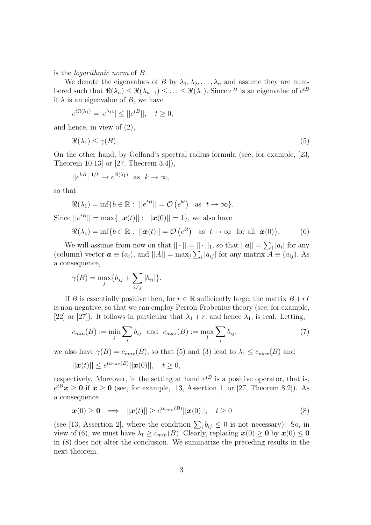is the logarithmic norm of B.

We denote the eigenvalues of B by  $\lambda_1, \lambda_2, \ldots, \lambda_n$  and assume they are numbered such that  $\Re(\lambda_n) \leq \Re(\lambda_{n-1}) \leq \ldots \leq \Re(\lambda_1)$ . Since  $e^{\lambda t}$  is an eigenvalue of  $e^{tB}$ if  $\lambda$  is an eigenvalue of B, we have

$$
e^{t\Re(\lambda_1)} = |e^{\lambda_1 t}| \leq ||e^{tB}||, \quad t \geq 0,
$$

and hence, in view of (2),

$$
\Re(\lambda_1) \le \gamma(B). \tag{5}
$$

On the other hand, by Gelfand's spectral radius formula (see, for example, [23, Theorem 10.13] or [27, Theorem 3.4]),

$$
||e^{kB}||^{1/k} \to e^{\Re(\lambda_1)} \text{ as } k \to \infty,
$$

so that

$$
\Re(\lambda_1) = \inf\{b \in \mathbb{R} : ||e^{tB}|| = \mathcal{O}(e^{bt}) \text{ as } t \to \infty\}.
$$

Since  $||e^{tB}|| = \max{||\boldsymbol{x}(t)|| : ||\boldsymbol{x}(0)|| = 1}$ , we also have

$$
\Re(\lambda_1) = \inf\{b \in \mathbb{R} : ||\mathbf{x}(t)|| = \mathcal{O}\left(e^{bt}\right) \text{ as } t \to \infty \text{ for all } \mathbf{x}(0)\}.
$$
 (6)

We will assume from now on that  $||\cdot|| = ||\cdot||_1$ , so that  $||\boldsymbol{a}|| = \sum_i |a_i|$  for any (column) vector  $\mathbf{a} \equiv (a_i)$ , and  $||A|| = \max_j \sum_i |a_{ij}|$  for any matrix  $A \equiv (a_{ij})$ . As a consequence,

$$
\gamma(B) = \max_j \{b_{jj} + \sum_{i \neq j} |b_{ij}|\}.
$$

If B is essentially positive then, for  $r \in \mathbb{R}$  sufficiently large, the matrix  $B + rI$ is non-negative, so that we can employ Perron-Frobenius theory (see, for example, [22] or [27]). It follows in particular that  $\lambda_1 + r$ , and hence  $\lambda_1$ , is real. Letting,

$$
c_{min}(B) := \min_j \sum_i b_{ij} \text{ and } c_{max}(B) := \max_j \sum_i b_{ij}, \tag{7}
$$

we also have  $\gamma(B) = c_{max}(B)$ , so that (5) and (3) lead to  $\lambda_1 \leq c_{max}(B)$  and

$$
||\boldsymbol{x}(t)|| \leq e^{t c_{max}(B)} ||\boldsymbol{x}(0)||, \quad t \geq 0,
$$

respectively. Moreover, in the setting at hand  $e^{tB}$  is a positive operator, that is,  $e^{tB}\mathbf{x} \geq \mathbf{0}$  if  $\mathbf{x} \geq \mathbf{0}$  (see, for example, [13, Assertion 1] or [27, Theorem 8.2]). As a consequence

$$
\boldsymbol{x}(0) \geq \boldsymbol{0} \implies ||\boldsymbol{x}(t)|| \geq e^{tc_{min}(B)} ||\boldsymbol{x}(0)||, \quad t \geq 0 \tag{8}
$$

(see [13, Assertion 2], where the condition  $\sum_i b_{ij} \leq 0$  is not necessary). So, in view of (6), we must have  $\lambda_1 \geq c_{min}(B)$ . Clearly, replacing  $\mathbf{x}(0) \geq \mathbf{0}$  by  $\mathbf{x}(0) \leq \mathbf{0}$ in (8) does not alter the conclusion. We summarize the preceding results in the next theorem.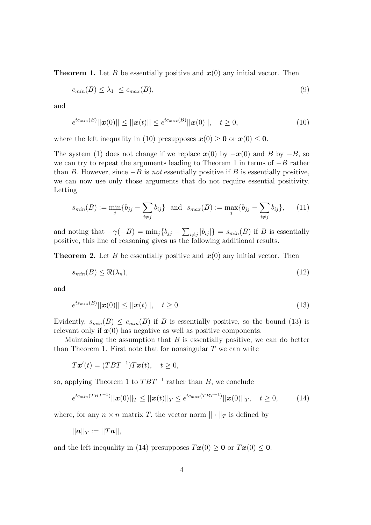**Theorem 1.** Let B be essentially positive and  $x(0)$  any initial vector. Then

$$
c_{min}(B) \le \lambda_1 \le c_{max}(B),\tag{9}
$$

and

$$
e^{t c_{min}(B)} ||\mathbf{x}(0)|| \le ||\mathbf{x}(t)|| \le e^{t c_{max}(B)} ||\mathbf{x}(0)||, \quad t \ge 0,
$$
\n(10)

where the left inequality in (10) presupposes  $\mathbf{x}(0) \geq 0$  or  $\mathbf{x}(0) \leq 0$ .

The system (1) does not change if we replace  $x(0)$  by  $-x(0)$  and B by  $-B$ , so we can try to repeat the arguments leading to Theorem 1 in terms of  $-B$  rather than B. However, since  $-B$  is *not* essentially positive if B is essentially positive, we can now use only those arguments that do not require essential positivity. Letting

$$
s_{min}(B) := \min_{j} \{ b_{jj} - \sum_{i \neq j} b_{ij} \} \text{ and } s_{max}(B) := \max_{j} \{ b_{jj} - \sum_{i \neq j} b_{ij} \}, \quad (11)
$$

and noting that  $-\gamma(-B) = \min_j \{b_{jj} - \sum_{i \neq j} |b_{ij}|\} = s_{min}(B)$  if B is essentially positive, this line of reasoning gives us the following additional results.

**Theorem 2.** Let B be essentially positive and  $x(0)$  any initial vector. Then

$$
s_{min}(B) \le \Re(\lambda_n),\tag{12}
$$

and

$$
e^{t s_{min}(B)} ||\mathbf{x}(0)|| \le ||\mathbf{x}(t)||, \quad t \ge 0.
$$
\n(13)

Evidently,  $s_{min}(B) \leq c_{min}(B)$  if B is essentially positive, so the bound (13) is relevant only if  $x(0)$  has negative as well as positive components.

Maintaining the assumption that  $B$  is essentially positive, we can do better than Theorem 1. First note that for nonsingular  $T$  we can write

$$
T\boldsymbol{x}'(t) = (TBT^{-1})T\boldsymbol{x}(t), \quad t \ge 0,
$$

so, applying Theorem 1 to  $TBT^{-1}$  rather than B, we conclude

$$
e^{t c_{min}(TBT^{-1})} ||\boldsymbol{x}(0)||_T \le ||\boldsymbol{x}(t)||_T \le e^{t c_{max}(TBT^{-1})} ||\boldsymbol{x}(0)||_T, \quad t \ge 0,
$$
 (14)

where, for any  $n \times n$  matrix T, the vector norm  $|| \cdot ||_T$  is defined by

$$
||\boldsymbol{a}||_T:=||T\boldsymbol{a}||,
$$

and the left inequality in (14) presupposes  $T\mathbf{x}(0) \geq \mathbf{0}$  or  $T\mathbf{x}(0) \leq \mathbf{0}$ .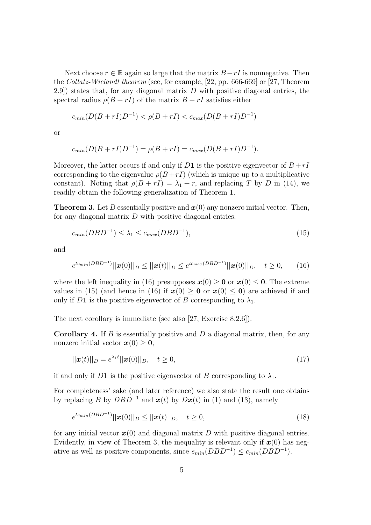Next choose  $r \in \mathbb{R}$  again so large that the matrix  $B+rI$  is nonnegative. Then the Collatz-Wielandt theorem (see, for example, [22, pp. 666-669] or [27, Theorem 2.9) states that, for any diagonal matrix  $D$  with positive diagonal entries, the spectral radius  $\rho(B + rI)$  of the matrix  $B + rI$  satisfies either

$$
c_{min}(D(B + rI)D^{-1}) < \rho(B + rI) < c_{max}(D(B + rI)D^{-1})
$$

or

$$
c_{min}(D(B + rI)D^{-1}) = \rho(B + rI) = c_{max}(D(B + rI)D^{-1}).
$$

Moreover, the latter occurs if and only if D1 is the positive eigenvector of  $B + rI$ corresponding to the eigenvalue  $\rho(B + rI)$  (which is unique up to a multiplicative constant). Noting that  $\rho(B + rI) = \lambda_1 + r$ , and replacing T by D in (14), we readily obtain the following generalization of Theorem 1.

**Theorem 3.** Let B essentially positive and  $x(0)$  any nonzero initial vector. Then, for any diagonal matrix  $D$  with positive diagonal entries,

$$
c_{min}(DBD^{-1}) \le \lambda_1 \le c_{max}(DBD^{-1}),\tag{15}
$$

and

$$
e^{t c_{min}(DBD^{-1})} ||\boldsymbol{x}(0)||_D \le ||\boldsymbol{x}(t)||_D \le e^{t c_{max}(DBD^{-1})} ||\boldsymbol{x}(0)||_D, \quad t \ge 0,
$$
 (16)

where the left inequality in (16) presupposes  $x(0) \ge 0$  or  $x(0) \le 0$ . The extreme values in (15) (and hence in (16) if  $x(0) \ge 0$  or  $x(0) \le 0$ ) are achieved if and only if D1 is the positive eigenvector of B corresponding to  $\lambda_1$ .

The next corollary is immediate (see also [27, Exercise 8.2.6]).

**Corollary 4.** If B is essentially positive and D a diagonal matrix, then, for any nonzero initial vector  $x(0) \geq 0$ ,

$$
||\boldsymbol{x}(t)||_D = e^{\lambda_1 t} ||\boldsymbol{x}(0)||_D, \quad t \ge 0,
$$
\n(17)

if and only if D1 is the positive eigenvector of B corresponding to  $\lambda_1$ .

For completeness' sake (and later reference) we also state the result one obtains by replacing B by  $DBD^{-1}$  and  $x(t)$  by  $Dx(t)$  in (1) and (13), namely

$$
e^{ts_{min}(DBD^{-1})}||\mathbf{x}(0)||_D \le ||\mathbf{x}(t)||_D, \quad t \ge 0,
$$
\n(18)

for any initial vector  $x(0)$  and diagonal matrix D with positive diagonal entries. Evidently, in view of Theorem 3, the inequality is relevant only if  $x(0)$  has negative as well as positive components, since  $s_{min}(DBD^{-1}) \leq c_{min}(DBD^{-1})$ .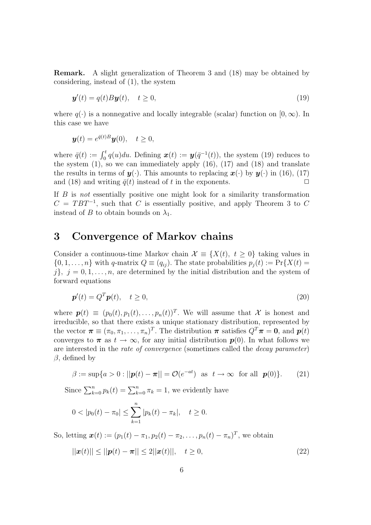Remark. A slight generalization of Theorem 3 and (18) may be obtained by considering, instead of (1), the system

$$
\mathbf{y}'(t) = q(t)B\mathbf{y}(t), \quad t \ge 0,
$$
\n(19)

where  $q(.)$  is a nonnegative and locally integrable (scalar) function on [0,  $\infty$ ). In this case we have

$$
\boldsymbol{y}(t) = e^{\bar{q}(t)B}\boldsymbol{y}(0), \quad t \ge 0,
$$

where  $\bar{q}(t) := \int_0^t q(u) du$ . Defining  $\boldsymbol{x}(t) := \boldsymbol{y}(\bar{q}^{-1}(t))$ , the system (19) reduces to the system  $(1)$ , so we can immediately apply  $(16)$ ,  $(17)$  and  $(18)$  and translate the results in terms of  $y(\cdot)$ . This amounts to replacing  $x(\cdot)$  by  $y(\cdot)$  in (16), (17) and (18) and writing  $\bar{g}(t)$  instead of t in the exponents. and (18) and writing  $\bar{q}(t)$  instead of t in the exponents.

If  $B$  is not essentially positive one might look for a similarity transformation  $C = TBT^{-1}$ , such that C is essentially positive, and apply Theorem 3 to C instead of B to obtain bounds on  $\lambda_1$ .

#### 3 Convergence of Markov chains

Consider a continuous-time Markov chain  $\mathcal{X} \equiv \{X(t), t \geq 0\}$  taking values in  $\{0, 1, \ldots, n\}$  with q-matrix  $Q \equiv (q_{ij})$ . The state probabilities  $p_j(t) := \Pr\{X(t)\}$  $j\},\,j=0,1,\ldots,n,$  are determined by the initial distribution and the system of forward equations

$$
\mathbf{p}'(t) = Q^T \mathbf{p}(t), \quad t \ge 0,
$$
\n<sup>(20)</sup>

where  $\mathbf{p}(t) \equiv (p_0(t), p_1(t), \dots, p_n(t))^T$ . We will assume that X is honest and irreducible, so that there exists a unique stationary distribution, represented by the vector  $\boldsymbol{\pi} \equiv (\pi_0, \pi_1, \dots, \pi_n)^T$ . The distribution  $\boldsymbol{\pi}$  satisfies  $Q^T \boldsymbol{\pi} = \mathbf{0}$ , and  $\boldsymbol{p}(t)$ converges to  $\pi$  as  $t \to \infty$ , for any initial distribution  $p(0)$ . In what follows we are interested in the rate of convergence (sometimes called the decay parameter)  $β$ , defined by

$$
\beta := \sup\{a > 0 : ||\boldsymbol{p}(t) - \boldsymbol{\pi}|| = \mathcal{O}(e^{-at}) \quad \text{as} \quad t \to \infty \quad \text{for all} \quad \boldsymbol{p}(0)\}. \tag{21}
$$

Since  $\sum_{k=0}^{n} p_k(t) = \sum_{k=0}^{n} \pi_k = 1$ , we evidently have

$$
0 < |p_0(t) - \pi_0| \le \sum_{k=1}^n |p_k(t) - \pi_k|, \quad t \ge 0.
$$

So, letting  $\bm{x}(t) := (p_1(t) - \pi_1, p_2(t) - \pi_2, \dots, p_n(t) - \pi_n)^T$ , we obtain

$$
||\mathbf{x}(t)|| \le ||\mathbf{p}(t) - \boldsymbol{\pi}|| \le 2||\mathbf{x}(t)||, \quad t \ge 0,
$$
\n(22)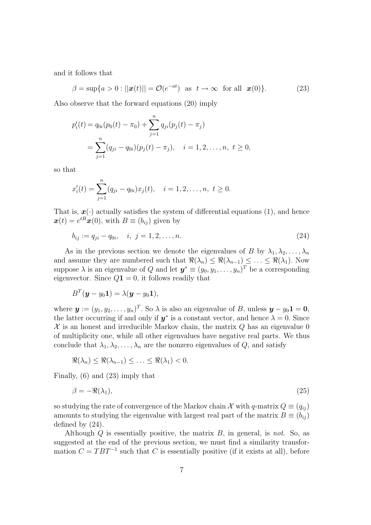and it follows that

$$
\beta = \sup\{a > 0 : ||\boldsymbol{x}(t)|| = \mathcal{O}(e^{-at}) \text{ as } t \to \infty \text{ for all } \boldsymbol{x}(0)\}. \tag{23}
$$

Also observe that the forward equations (20) imply

$$
p'_{i}(t) = q_{0i}(p_{0}(t) - \pi_{0}) + \sum_{j=1}^{n} q_{ji}(p_{j}(t) - \pi_{j})
$$
  
= 
$$
\sum_{j=1}^{n} (q_{ji} - q_{0i})(p_{j}(t) - \pi_{j}), \quad i = 1, 2, ..., n, t \ge 0,
$$

so that

$$
x'_{i}(t) = \sum_{j=1}^{n} (q_{ji} - q_{0i}) x_{j}(t), \quad i = 1, 2, \ldots, n, \ t \geq 0.
$$

That is,  $x(\cdot)$  actually satisfies the system of differential equations (1), and hence  $\boldsymbol{x}(t) = e^{tB}\boldsymbol{x}(0)$ , with  $B \equiv (b_{ij})$  given by

$$
b_{ij} := q_{ji} - q_{0i}, \quad i, j = 1, 2, \dots, n. \tag{24}
$$

As in the previous section we denote the eigenvalues of B by  $\lambda_1, \lambda_2, \ldots, \lambda_n$ and assume they are numbered such that  $\Re(\lambda_n) \leq \Re(\lambda_{n-1}) \leq \ldots \leq \Re(\lambda_1)$ . Now suppose  $\lambda$  is an eigenvalue of Q and let  $\mathbf{y}^* \equiv (y_0, y_1, \dots, y_n)^T$  be a corresponding eigenvector. Since  $Q1 = 0$ , it follows readily that

$$
B^T(\boldsymbol{y}-y_0\boldsymbol{1})=\lambda(\boldsymbol{y}-y_0\boldsymbol{1}),
$$

where  $\mathbf{y} := (y_1, y_2, \dots, y_n)^T$ . So  $\lambda$  is also an eigenvalue of B, unless  $\mathbf{y} - y_0 \mathbf{1} = \mathbf{0}$ , the latter occurring if and only if  $y^*$  is a constant vector, and hence  $\lambda = 0$ . Since  $\mathcal X$  is an honest and irreducible Markov chain, the matrix  $Q$  has an eigenvalue 0 of multiplicity one, while all other eigenvalues have negative real parts. We thus conclude that  $\lambda_1, \lambda_2, \ldots, \lambda_n$  are the nonzero eigenvalues of Q, and satisfy

$$
\Re(\lambda_n) \leq \Re(\lambda_{n-1}) \leq \ldots \leq \Re(\lambda_1) < 0.
$$

Finally, (6) and (23) imply that

$$
\beta = -\Re(\lambda_1),\tag{25}
$$

so studying the rate of convergence of the Markov chain X with q-matrix  $Q \equiv (q_{ij})$ amounts to studying the eigenvalue with largest real part of the matrix  $B \equiv (b_{ij})$ defined by (24).

Although Q is essentially positive, the matrix  $B$ , in general, is not. So, as suggested at the end of the previous section, we must find a similarity transformation  $C = TBT^{-1}$  such that C is essentially positive (if it exists at all), before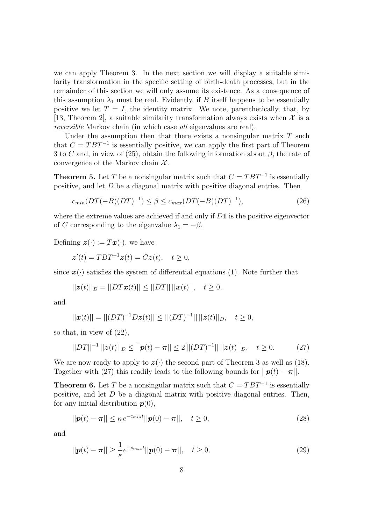we can apply Theorem 3. In the next section we will display a suitable similarity transformation in the specific setting of birth-death processes, but in the remainder of this section we will only assume its existence. As a consequence of this assumption  $\lambda_1$  must be real. Evidently, if B itself happens to be essentially positive we let  $T = I$ , the identity matrix. We note, parenthetically, that, by [13, Theorem 2], a suitable similarity transformation always exists when  $\mathcal X$  is a reversible Markov chain (in which case all eigenvalues are real).

Under the assumption then that there exists a nonsingular matrix  $T$  such that  $C = TBT^{-1}$  is essentially positive, we can apply the first part of Theorem 3 to C and, in view of (25), obtain the following information about  $\beta$ , the rate of convergence of the Markov chain  $\mathcal{X}$ .

**Theorem 5.** Let T be a nonsingular matrix such that  $C = TBT^{-1}$  is essentially positive, and let D be a diagonal matrix with positive diagonal entries. Then

$$
c_{min}(DT(-B)(DT)^{-1}) \le \beta \le c_{max}(DT(-B)(DT)^{-1}),\tag{26}
$$

where the extreme values are achieved if and only if  $D1$  is the positive eigenvector of C corresponding to the eigenvalue  $\lambda_1 = -\beta$ .

Defining  $\boldsymbol{z}(\cdot) := T\boldsymbol{x}(\cdot)$ , we have

 $\mathbf{z}'(t) = TBT^{-1}\mathbf{z}(t) = C\mathbf{z}(t), \quad t \geq 0,$ 

since  $\mathbf{x}(\cdot)$  satisfies the system of differential equations (1). Note further that

$$
||\mathbf{z}(t)||_D = ||DT\mathbf{x}(t)|| \le ||DT|| \, ||\mathbf{x}(t)||, \quad t \ge 0,
$$

and

$$
||\boldsymbol{x}(t)|| = ||(DT)^{-1}D\boldsymbol{z}(t)|| \le ||(DT)^{-1}|| ||\boldsymbol{z}(t)||_D, \quad t \ge 0,
$$

so that, in view of (22),

$$
||DT||^{-1}||\mathbf{z}(t)||_D \le ||\mathbf{p}(t) - \boldsymbol{\pi}|| \le 2||(DT)^{-1}|| ||\mathbf{z}(t)||_D, \quad t \ge 0.
$$
 (27)

We are now ready to apply to  $z(\cdot)$  the second part of Theorem 3 as well as (18). Together with (27) this readily leads to the following bounds for  $||\mathbf{p}(t) - \boldsymbol{\pi}||$ .

**Theorem 6.** Let T be a nonsingular matrix such that  $C = TBT^{-1}$  is essentially positive, and let D be a diagonal matrix with positive diagonal entries. Then, for any initial distribution  $p(0)$ ,

$$
||\mathbf{p}(t) - \boldsymbol{\pi}|| \le \kappa e^{-c_{min}t} ||\mathbf{p}(0) - \boldsymbol{\pi}||, \quad t \ge 0,
$$
\n
$$
(28)
$$

and

$$
||\mathbf{p}(t) - \boldsymbol{\pi}|| \ge \frac{1}{\kappa} e^{-s_{max}t} ||\mathbf{p}(0) - \boldsymbol{\pi}||, \quad t \ge 0,
$$
\n(29)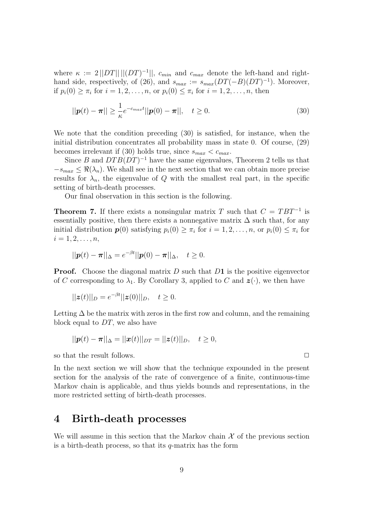where  $\kappa := 2||DT|| ||(DT)^{-1}||$ ,  $c_{min}$  and  $c_{max}$  denote the left-hand and righthand side, respectively, of (26), and  $s_{max} := s_{max}(DT(-B)(DT)^{-1})$ . Moreover, if  $p_i(0) \geq \pi_i$  for  $i = 1, 2, ..., n$ , or  $p_i(0) \leq \pi_i$  for  $i = 1, 2, ..., n$ , then

$$
||\mathbf{p}(t) - \boldsymbol{\pi}|| \ge \frac{1}{\kappa} e^{-c_{max}t} ||\mathbf{p}(0) - \boldsymbol{\pi}||, \quad t \ge 0.
$$
 (30)

We note that the condition preceding (30) is satisfied, for instance, when the initial distribution concentrates all probability mass in state 0. Of course, (29) becomes irrelevant if (30) holds true, since  $s_{max} < c_{max}$ .

Since B and  $DTB(DT)^{-1}$  have the same eigenvalues, Theorem 2 tells us that  $-s_{max} \leq \Re(\lambda_n)$ . We shall see in the next section that we can obtain more precise results for  $\lambda_n$ , the eigenvalue of Q with the smallest real part, in the specific setting of birth-death processes.

Our final observation in this section is the following.

**Theorem 7.** If there exists a nonsingular matrix T such that  $C = TBT^{-1}$  is essentially positive, then there exists a nonnegative matrix  $\Delta$  such that, for any initial distribution  $p(0)$  satisfying  $p_i(0) \geq \pi_i$  for  $i = 1, 2, ..., n$ , or  $p_i(0) \leq \pi_i$  for  $i = 1, 2, \ldots, n$ ,

$$
||\mathbf{p}(t) - \boldsymbol{\pi}||_{\Delta} = e^{-\beta t} ||\mathbf{p}(0) - \boldsymbol{\pi}||_{\Delta}, \quad t \ge 0.
$$

**Proof.** Choose the diagonal matrix  $D$  such that  $D1$  is the positive eigenvector of C corresponding to  $\lambda_1$ . By Corollary 3, applied to C and  $\mathbf{z}(\cdot)$ , we then have

$$
||\mathbf{z}(t)||_D = e^{-\beta t}||\mathbf{z}(0)||_D, \quad t \ge 0.
$$

Letting  $\Delta$  be the matrix with zeros in the first row and column, and the remaining block equal to DT, we also have

$$
||\mathbf{p}(t) - \boldsymbol{\pi}||_{\Delta} = ||\mathbf{x}(t)||_{DT} = ||\mathbf{z}(t)||_{D}, \quad t \geq 0,
$$

so that the result follows.  $\Box$ 

In the next section we will show that the technique expounded in the present section for the analysis of the rate of convergence of a finite, continuous-time Markov chain is applicable, and thus yields bounds and representations, in the more restricted setting of birth-death processes.

#### 4 Birth-death processes

We will assume in this section that the Markov chain  $\mathcal X$  of the previous section is a birth-death process, so that its  $q$ -matrix has the form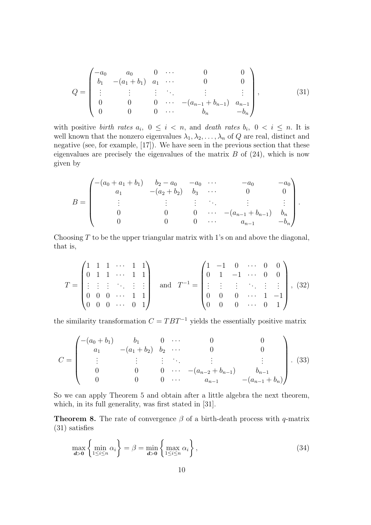$$
Q = \begin{pmatrix} -a_0 & a_0 & 0 & \cdots & 0 & 0 \\ b_1 & -(a_1 + b_1) & a_1 & \cdots & 0 & 0 \\ \vdots & \vdots & \vdots & \ddots & \vdots & \vdots \\ 0 & 0 & 0 & \cdots & -(a_{n-1} + b_{n-1}) & a_{n-1} \\ 0 & 0 & 0 & \cdots & b_n & -b_n \end{pmatrix},
$$
(31)

with positive *birth rates*  $a_i$ ,  $0 \le i \le n$ , and *death rates*  $b_i$ ,  $0 \le i \le n$ . It is well known that the nonzero eigenvalues  $\lambda_1, \lambda_2, \ldots, \lambda_n$  of Q are real, distinct and negative (see, for example, [17]). We have seen in the previous section that these eigenvalues are precisely the eigenvalues of the matrix  $B$  of  $(24)$ , which is now given by

$$
B = \begin{pmatrix} -(a_0 + a_1 + b_1) & b_2 - a_0 & -a_0 & \cdots & -a_0 & -a_0 \\ a_1 & -(a_2 + b_2) & b_3 & \cdots & 0 & 0 \\ \vdots & \vdots & \vdots & \ddots & \vdots & \vdots \\ 0 & 0 & 0 & \cdots & -(a_{n-1} + b_{n-1}) & b_n \\ 0 & 0 & 0 & \cdots & a_{n-1} & -b_n \end{pmatrix}.
$$

Choosing  $T$  to be the upper triangular matrix with 1's on and above the diagonal, that is,

$$
T = \begin{pmatrix} 1 & 1 & 1 & \cdots & 1 & 1 \\ 0 & 1 & 1 & \cdots & 1 & 1 \\ \vdots & \vdots & \vdots & \ddots & \vdots & \vdots \\ 0 & 0 & 0 & \cdots & 1 & 1 \\ 0 & 0 & 0 & \cdots & 0 & 1 \end{pmatrix} \text{ and } T^{-1} = \begin{pmatrix} 1 & -1 & 0 & \cdots & 0 & 0 \\ 0 & 1 & -1 & \cdots & 0 & 0 \\ \vdots & \vdots & \vdots & \ddots & \vdots & \vdots \\ 0 & 0 & 0 & \cdots & 1 & -1 \\ 0 & 0 & 0 & \cdots & 0 & 1 \end{pmatrix}, (32)
$$

the similarity transformation  $C = TBT^{-1}$  yields the essentially positive matrix

$$
C = \begin{pmatrix} -(a_0 + b_1) & b_1 & 0 & \cdots & 0 & 0 \\ a_1 & -(a_1 + b_2) & b_2 & \cdots & 0 & 0 \\ \vdots & \vdots & \vdots & \ddots & \vdots & \vdots \\ 0 & 0 & 0 & \cdots & -(a_{n-2} + b_{n-1}) & b_{n-1} \\ 0 & 0 & 0 & \cdots & a_{n-1} & -(a_{n-1} + b_n) \end{pmatrix} . (33)
$$

So we can apply Theorem 5 and obtain after a little algebra the next theorem, which, in its full generality, was first stated in [31].

**Theorem 8.** The rate of convergence  $\beta$  of a birth-death process with q-matrix (31) satisfies

$$
\max_{\mathbf{d}>0} \left\{ \min_{1 \le i \le n} \alpha_i \right\} = \beta = \min_{\mathbf{d}>0} \left\{ \max_{1 \le i \le n} \alpha_i \right\},\tag{34}
$$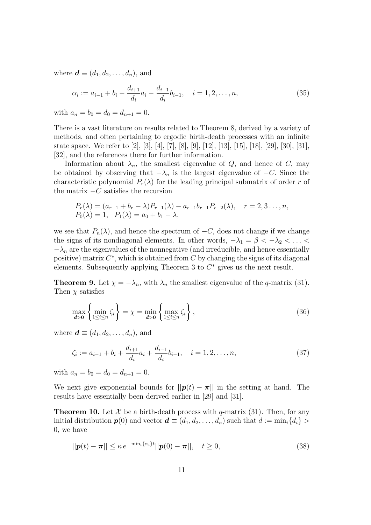where  $\mathbf{d} \equiv (d_1, d_2, \dots, d_n)$ , and

$$
\alpha_i := a_{i-1} + b_i - \frac{d_{i+1}}{d_i} a_i - \frac{d_{i-1}}{d_i} b_{i-1}, \quad i = 1, 2, \dots, n,
$$
\n(35)

with  $a_n = b_0 = d_0 = d_{n+1} = 0$ .

There is a vast literature on results related to Theorem 8, derived by a variety of methods, and often pertaining to ergodic birth-death processes with an infinite state space. We refer to [2], [3], [4], [7], [8], [9], [12], [13], [15], [18], [29], [30], [31], [32], and the references there for further information.

Information about  $\lambda_n$ , the smallest eigenvalue of Q, and hence of C, may be obtained by observing that  $-\lambda_n$  is the largest eigenvalue of  $-C$ . Since the characteristic polynomial  $P_r(\lambda)$  for the leading principal submatrix of order r of the matrix  $-C$  satisfies the recursion

$$
P_r(\lambda) = (a_{r-1} + b_r - \lambda) P_{r-1}(\lambda) - a_{r-1} b_{r-1} P_{r-2}(\lambda), \quad r = 2, 3... , n,
$$
  
\n
$$
P_0(\lambda) = 1, \quad P_1(\lambda) = a_0 + b_1 - \lambda,
$$

we see that  $P_n(\lambda)$ , and hence the spectrum of  $-C$ , does not change if we change the signs of its nondiagonal elements. In other words,  $-\lambda_1 = \beta < -\lambda_2 < \ldots <$  $-\lambda_n$  are the eigenvalues of the nonnegative (and irreducible, and hence essentially positive) matrix  $C^*$ , which is obtained from  $C$  by changing the signs of its diagonal elements. Subsequently applying Theorem 3 to  $C^*$  gives us the next result.

**Theorem 9.** Let  $\chi = -\lambda_n$ , with  $\lambda_n$  the smallest eigenvalue of the q-matrix (31). Then  $\chi$  satisfies

$$
\max_{\mathbf{d}>0} \left\{ \min_{1 \le i \le n} \zeta_i \right\} = \chi = \min_{\mathbf{d}>0} \left\{ \max_{1 \le i \le n} \zeta_i \right\},\tag{36}
$$

where  $\mathbf{d} \equiv (d_1, d_2, \ldots, d_n)$ , and

$$
\zeta_i := a_{i-1} + b_i + \frac{d_{i+1}}{d_i} a_i + \frac{d_{i-1}}{d_i} b_{i-1}, \quad i = 1, 2, \dots, n,
$$
\n(37)

with  $a_n = b_0 = d_0 = d_{n+1} = 0$ .

We next give exponential bounds for  $||p(t) - \pi||$  in the setting at hand. The results have essentially been derived earlier in [29] and [31].

**Theorem 10.** Let  $\mathcal{X}$  be a birth-death process with q-matrix (31). Then, for any initial distribution  $p(0)$  and vector  $\mathbf{d} \equiv (d_1, d_2, \ldots, d_n)$  such that  $d := \min_i \{d_i\} >$ 0, we have

$$
||\mathbf{p}(t) - \boldsymbol{\pi}|| \le \kappa e^{-\min_i \{\alpha_i\}t} ||\mathbf{p}(0) - \boldsymbol{\pi}||, \quad t \ge 0,
$$
\n(38)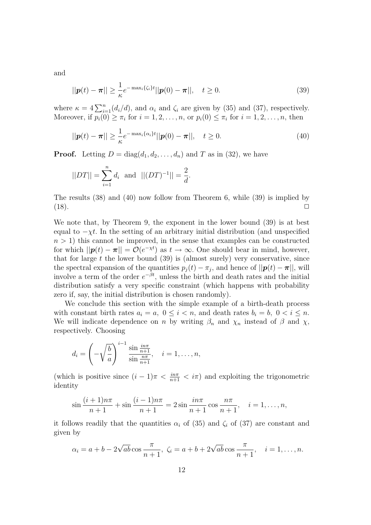and

$$
||\mathbf{p}(t) - \boldsymbol{\pi}|| \ge \frac{1}{\kappa} e^{-\max_i \{\zeta_i\} t} ||\mathbf{p}(0) - \boldsymbol{\pi}||, \quad t \ge 0.
$$
 (39)

where  $\kappa = 4 \sum_{i=1}^{n} (d_i/d)$ , and  $\alpha_i$  and  $\zeta_i$  are given by (35) and (37), respectively. Moreover, if  $p_i(0) \geq \pi_i$  for  $i = 1, 2, ..., n$ , or  $p_i(0) \leq \pi_i$  for  $i = 1, 2, ..., n$ , then

$$
||\mathbf{p}(t) - \boldsymbol{\pi}|| \ge \frac{1}{\kappa} e^{-\max_i \{\alpha_i\} t} ||\mathbf{p}(0) - \boldsymbol{\pi}||, \quad t \ge 0.
$$
 (40)

**Proof.** Letting  $D = diag(d_1, d_2, ..., d_n)$  and T as in (32), we have

$$
||DT|| = \sum_{i=1}^{n} d_i
$$
 and  $||(DT)^{-1}|| = \frac{2}{d}$ .

The results (38) and (40) now follow from Theorem 6, while (39) is implied by  $(18).$ 

We note that, by Theorem 9, the exponent in the lower bound (39) is at best equal to  $-\chi t$ . In the setting of an arbitrary initial distribution (and unspecified  $n > 1$ ) this cannot be improved, in the sense that examples can be constructed for which  $||\mathbf{p}(t) - \boldsymbol{\pi}|| = \mathcal{O}(e^{-\chi t})$  as  $t \to \infty$ . One should bear in mind, however, that for large  $t$  the lower bound  $(39)$  is (almost surely) very conservative, since the spectral expansion of the quantities  $p_j(t) - \pi_j$ , and hence of  $||\mathbf{p}(t) - \pi||$ , will involve a term of the order  $e^{-\beta t}$ , unless the birth and death rates and the initial distribution satisfy a very specific constraint (which happens with probability zero if, say, the initial distribution is chosen randomly).

We conclude this section with the simple example of a birth-death process with constant birth rates  $a_i = a, 0 \leq i < n$ , and death rates  $b_i = b, 0 < i \leq n$ . We will indicate dependence on n by writing  $\beta_n$  and  $\chi_n$  instead of  $\beta$  and  $\chi$ , respectively. Choosing

$$
d_i = \left(-\sqrt{\frac{b}{a}}\right)^{i-1} \frac{\sin \frac{i n \pi}{n+1}}{\sin \frac{n \pi}{n+1}}, \quad i = 1, \dots, n,
$$

(which is positive since  $(i-1)\pi < \frac{i n \pi}{n+1} < i\pi$ ) and exploiting the trigonometric identity

$$
\sin\frac{(i+1)n\pi}{n+1} + \sin\frac{(i-1)n\pi}{n+1} = 2\sin\frac{in\pi}{n+1}\cos\frac{n\pi}{n+1}, \quad i = 1, \dots, n,
$$

it follows readily that the quantities  $\alpha_i$  of (35) and  $\zeta_i$  of (37) are constant and given by

$$
\alpha_i = a + b - 2\sqrt{ab} \cos \frac{\pi}{n+1}, \ \zeta_i = a + b + 2\sqrt{ab} \cos \frac{\pi}{n+1}, \quad i = 1, ..., n.
$$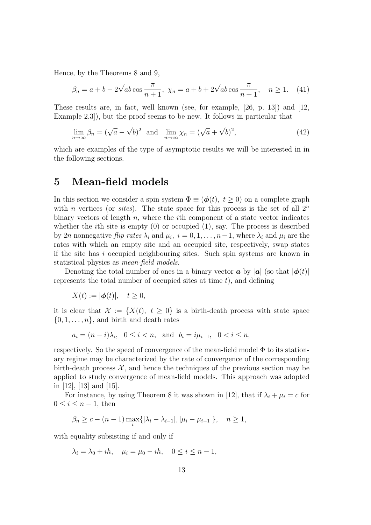Hence, by the Theorems 8 and 9,

$$
\beta_n = a + b - 2\sqrt{ab}\cos\frac{\pi}{n+1}, \ \chi_n = a + b + 2\sqrt{ab}\cos\frac{\pi}{n+1}, \quad n \ge 1. \tag{41}
$$

These results are, in fact, well known (see, for example, [26, p. 13]) and [12, Example 2.3]), but the proof seems to be new. It follows in particular that

$$
\lim_{n \to \infty} \beta_n = (\sqrt{a} - \sqrt{b})^2 \text{ and } \lim_{n \to \infty} \chi_n = (\sqrt{a} + \sqrt{b})^2,
$$
\n(42)

which are examples of the type of asymptotic results we will be interested in in the following sections.

## 5 Mean-field models

In this section we consider a spin system  $\Phi \equiv (\phi(t), t \ge 0)$  on a complete graph with n vertices (or *sites*). The state space for this process is the set of all  $2^n$ binary vectors of length  $n$ , where the *i*th component of a state vector indicates whether the *i*th site is empty  $(0)$  or occupied  $(1)$ , say. The process is described by 2*n* nonnegative *flip rates*  $\lambda_i$  and  $\mu_i$ ,  $i = 0, 1, \ldots, n-1$ , where  $\lambda_i$  and  $\mu_i$  are the rates with which an empty site and an occupied site, respectively, swap states if the site has i occupied neighbouring sites. Such spin systems are known in statistical physics as mean-field models.

Denoting the total number of ones in a binary vector **a** by |**a**| (so that  $|\phi(t)|$ ) represents the total number of occupied sites at time  $t$ ), and defining

$$
X(t) := |\phi(t)|, \quad t \ge 0,
$$

it is clear that  $\mathcal{X} := \{X(t), t \geq 0\}$  is a birth-death process with state space  $\{0, 1, \ldots, n\}$ , and birth and death rates

$$
a_i = (n - i)\lambda_i
$$
,  $0 \le i < n$ , and  $b_i = i\mu_{i-1}$ ,  $0 < i \le n$ ,

respectively. So the speed of convergence of the mean-field model  $\Phi$  to its stationary regime may be characterized by the rate of convergence of the corresponding birth-death process  $\mathcal{X}$ , and hence the techniques of the previous section may be applied to study convergence of mean-field models. This approach was adopted in [12], [13] and [15].

For instance, by using Theorem 8 it was shown in [12], that if  $\lambda_i + \mu_i = c$  for  $0 \leq i \leq n-1$ , then

$$
\beta_n \ge c - (n-1) \max_i \{ |\lambda_i - \lambda_{i-1}|, |\mu_i - \mu_{i-1}| \}, \quad n \ge 1,
$$

with equality subsisting if and only if

 $\lambda_i = \lambda_0 + ih, \quad \mu_i = \mu_0 - ih, \quad 0 \leq i \leq n-1,$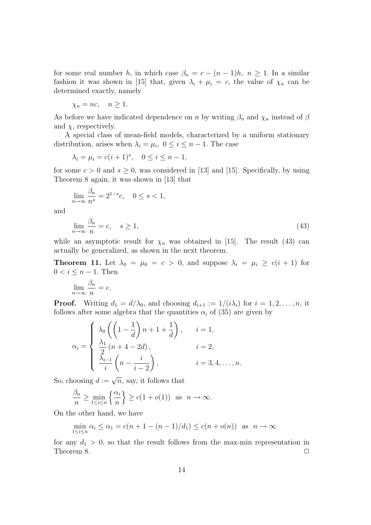for some real number h, in which case  $\beta_n = c - (n-1)h$ ,  $n \geq 1$ . In a similar fashion it was shown in [15] that, given  $\lambda_i + \mu_i = c$ , the value of  $\chi_n$  can be determined exactly, namely

$$
\chi_n = nc, \quad n \ge 1.
$$

As before we have indicated dependence on n by writing  $\beta_n$  and  $\chi_n$  instead of  $\beta$ and  $\chi$ , respectively.

A special class of mean-field models, characterized by a uniform stationary distribution, arises when  $\lambda_i = \mu_i$ ,  $0 \le i \le n - 1$ . The case

$$
\lambda_i = \mu_i = c(i+1)^s, \quad 0 \le i \le n-1,
$$

for some  $c > 0$  and  $s \geq 0$ , was considered in [13] and [15]. Specifically, by using Theorem 8 again, it was shown in [13] that

$$
\lim_{n \to \infty} \frac{\beta_n}{n^s} = 2^{1-s}c, \quad 0 \le s < 1,
$$

and

$$
\lim_{n \to \infty} \frac{\beta_n}{n} = c, \quad s \ge 1,
$$
\n(43)

while an asymptotic result for  $\chi_n$  was obtained in [15]. The result (43) can actually be generalized, as shown in the next theorem.

**Theorem 11.** Let  $\lambda_0 = \mu_0 = c > 0$ , and suppose  $\lambda_i = \mu_i \geq c(i+1)$  for  $0 < i \leq n-1$ . Then

$$
\lim_{n \to \infty} \frac{\beta_n}{n} = c.
$$

**Proof.** Writing  $d_1 = d/\lambda_0$ , and choosing  $d_{i+1} := 1/(i\lambda_i)$  for  $i = 1, 2, ..., n$ , it follows after some algebra that the quantities  $\alpha_i$  of (35) are given by

$$
\alpha_i = \begin{cases}\n\lambda_0 \left( \left( 1 - \frac{1}{d} \right) n + 1 + \frac{1}{d} \right), & i = 1, \\
\frac{\lambda_1}{2} \left( n + 4 - 2d \right), & i = 2, \\
\frac{\lambda_{i-1}}{i} \left( n - \frac{i}{i-2} \right), & i = 3, 4, \dots, n.\n\end{cases}
$$

So, choosing  $d := \sqrt{n}$ , say, it follows that

$$
\frac{\beta_n}{n} \ge \min_{1 \le i \le n} \left\{ \frac{\alpha_i}{n} \right\} \ge c(1 + o(1)) \quad \text{as} \quad n \to \infty.
$$

On the other hand, we have

$$
\min_{1 \le i \le n} \alpha_i \le \alpha_1 = c(n+1-(n-1)/d_1) \le c(n+o(n)) \text{ as } n \to \infty
$$

for any  $d_1 > 0$ , so that the result follows from the max-min representation in Theorem 8.  $\Box$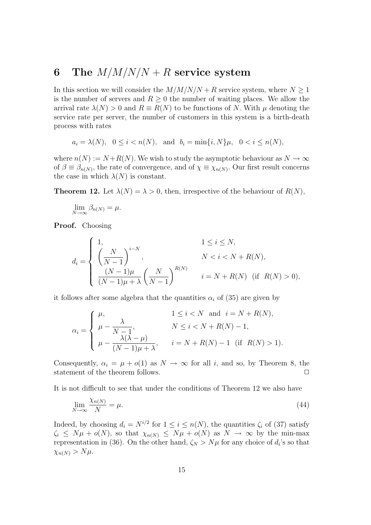# 6 The  $M/M/N/N + R$  service system

In this section we will consider the  $M/M/N/N + R$  service system, where  $N \geq 1$ is the number of servers and  $R \geq 0$  the number of waiting places. We allow the arrival rate  $\lambda(N) > 0$  and  $R \equiv R(N)$  to be functions of N. With  $\mu$  denoting the service rate per server, the number of customers in this system is a birth-death process with rates

$$
a_i = \lambda(N)
$$
,  $0 \le i < n(N)$ , and  $b_i = \min\{i, N\}\mu$ ,  $0 < i \le n(N)$ ,

where  $n(N) := N + R(N)$ . We wish to study the asymptotic behaviour as  $N \to \infty$ of  $\beta \equiv \beta_{n(N)}$ , the rate of convergence, and of  $\chi \equiv \chi_{n(N)}$ . Our first result concerns the case in which  $\lambda(N)$  is constant.

**Theorem 12.** Let  $\lambda(N) = \lambda > 0$ , then, irrespective of the behaviour of  $R(N)$ ,

$$
\lim_{N \to \infty} \beta_{n(N)} = \mu.
$$

Proof. Choosing

$$
d_i = \begin{cases} 1, & 1 \le i \le N, \\ \left(\frac{N}{N-1}\right)^{i-N}, & N < i < N + R(N), \\ \frac{(N-1)\mu}{(N-1)\mu + \lambda} \left(\frac{N}{N-1}\right)^{R(N)} & i = N + R(N) \text{ (if } R(N) > 0), \end{cases}
$$

it follows after some algebra that the quantities  $\alpha_i$  of (35) are given by

$$
\alpha_i = \begin{cases} \mu, & 1 \le i < N \text{ and } i = N + R(N), \\ \mu - \frac{\lambda}{N - 1}, & N \le i < N + R(N) - 1, \\ \mu - \frac{\lambda(\lambda - \mu)}{(N - 1)\mu + \lambda}, & i = N + R(N) - 1 \text{ (if } R(N) > 1). \end{cases}
$$

Consequently,  $\alpha_i = \mu + o(1)$  as  $N \to \infty$  for all *i*, and so, by Theorem 8, the statement of the theorem follows statement of the theorem follows.

It is not difficult to see that under the conditions of Theorem 12 we also have

$$
\lim_{N \to \infty} \frac{\chi_{n(N)}}{N} = \mu. \tag{44}
$$

Indeed, by choosing  $d_i = N^{i/2}$  for  $1 \leq i \leq n(N)$ , the quantities  $\zeta_i$  of (37) satisfy  $\zeta_i \leq N\mu + o(N)$ , so that  $\chi_{n(N)} \leq N\mu + o(N)$  as  $N \to \infty$  by the min-max representation in (36). On the other hand,  $\zeta_N > N\mu$  for any choice of  $d_i$ 's so that  $\chi_{n(N)} > N\mu$ .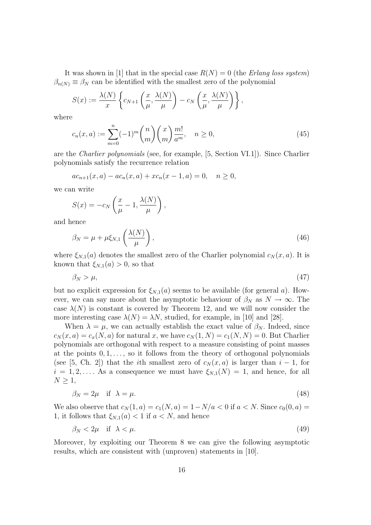It was shown in [1] that in the special case  $R(N) = 0$  (the *Erlang loss system*)  $\beta_{n(N)} \equiv \beta_N$  can be identified with the smallest zero of the polynomial

$$
S(x) := \frac{\lambda(N)}{x} \left\{ c_{N+1} \left( \frac{x}{\mu}, \frac{\lambda(N)}{\mu} \right) - c_N \left( \frac{x}{\mu}, \frac{\lambda(N)}{\mu} \right) \right\},\,
$$

where

$$
c_n(x, a) := \sum_{m=0}^{n} (-1)^m {n \choose m} {x \choose m} \frac{m!}{a^m}, \quad n \ge 0,
$$
 (45)

are the Charlier polynomials (see, for example, [5, Section VI.1]). Since Charlier polynomials satisfy the recurrence relation

$$
ac_{n+1}(x,a) - ac_n(x,a) + xc_n(x-1,a) = 0, \quad n \ge 0,
$$

we can write

$$
S(x) = -c_N \left(\frac{x}{\mu} - 1, \frac{\lambda(N)}{\mu}\right),
$$

and hence

$$
\beta_N = \mu + \mu \xi_{N,1} \left( \frac{\lambda(N)}{\mu} \right),\tag{46}
$$

where  $\xi_{N,1}(a)$  denotes the smallest zero of the Charlier polynomial  $c_N(x, a)$ . It is known that  $\xi_{N,1}(a) > 0$ , so that

$$
\beta_N > \mu,\tag{47}
$$

but no explicit expression for  $\xi_{N,1}(a)$  seems to be available (for general a). However, we can say more about the asymptotic behaviour of  $\beta_N$  as  $N \to \infty$ . The case  $\lambda(N)$  is constant is covered by Theorem 12, and we will now consider the more interesting case  $\lambda(N) = \lambda N$ , studied, for example, in [10] and [28].

When  $\lambda = \mu$ , we can actually establish the exact value of  $\beta_N$ . Indeed, since  $c_N(x, a) = c_x(N, a)$  for natural x, we have  $c_N(1, N) = c_1(N, N) = 0$ . But Charlier polynomials are orthogonal with respect to a measure consisting of point masses at the points  $0, 1, \ldots$ , so it follows from the theory of orthogonal polynomials (see [5, Ch. 2]) that the *i*th smallest zero of  $c_N(x, a)$  is larger than  $i - 1$ , for  $i = 1, 2, \ldots$  As a consequence we must have  $\xi_{N,1}(N) = 1$ , and hence, for all  $N \geq 1$ ,

$$
\beta_N = 2\mu \quad \text{if} \quad \lambda = \mu. \tag{48}
$$

We also observe that  $c_N(1, a) = c_1(N, a) = 1 - N/a < 0$  if  $a < N$ . Since  $c_0(0, a) =$ 1, it follows that  $\xi_{N,1}(a) < 1$  if  $a < N$ , and hence

$$
\beta_N < 2\mu \quad \text{if} \quad \lambda < \mu. \tag{49}
$$

Moreover, by exploiting our Theorem 8 we can give the following asymptotic results, which are consistent with (unproven) statements in [10].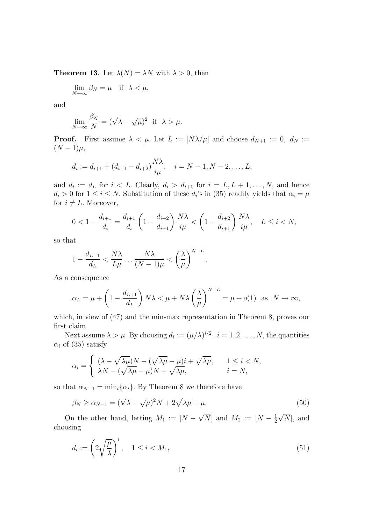**Theorem 13.** Let  $\lambda(N) = \lambda N$  with  $\lambda > 0$ , then

$$
\lim_{N \to \infty} \beta_N = \mu \quad \text{if} \quad \lambda < \mu,
$$

and

$$
\lim_{N \to \infty} \frac{\beta_N}{N} = (\sqrt{\lambda} - \sqrt{\mu})^2 \text{ if } \lambda > \mu.
$$

**Proof.** First assume  $\lambda < \mu$ . Let  $L := [N\lambda/\mu]$  and choose  $d_{N+1} := 0$ ,  $d_N :=$  $(N-1)\mu$ ,

$$
d_i := d_{i+1} + (d_{i+1} - d_{i+2})\frac{N\lambda}{i\mu}, \quad i = N - 1, N - 2, \dots, L,
$$

and  $d_i := d_i$  for  $i < L$ . Clearly,  $d_i > d_{i+1}$  for  $i = L, L + 1, \ldots, N$ , and hence  $d_i > 0$  for  $1 \leq i \leq N$ . Substitution of these  $d_i$ 's in (35) readily yields that  $\alpha_i = \mu$ for  $i \neq L$ . Moreover,

$$
0 < 1 - \frac{d_{i+1}}{d_i} = \frac{d_{i+1}}{d_i} \left( 1 - \frac{d_{i+2}}{d_{i+1}} \right) \frac{N\lambda}{i\mu} < \left( 1 - \frac{d_{i+2}}{d_{i+1}} \right) \frac{N\lambda}{i\mu}, \quad L \le i < N,
$$

so that

$$
1 - \frac{d_{L+1}}{d_L} < \frac{N\lambda}{L\mu} \dots \frac{N\lambda}{(N-1)\mu} < \left(\frac{\lambda}{\mu}\right)^{N-L}.
$$

As a consequence

$$
\alpha_L = \mu + \left(1 - \frac{d_{L+1}}{d_L}\right) N\lambda < \mu + N\lambda \left(\frac{\lambda}{\mu}\right)^{N-L} = \mu + o(1) \quad \text{as} \quad N \to \infty,
$$

which, in view of  $(47)$  and the min-max representation in Theorem 8, proves our first claim.

Next assume  $\lambda > \mu$ . By choosing  $d_i := (\mu/\lambda)^{i/2}, i = 1, 2, ..., N$ , the quantities  $\alpha_i$  of (35) satisfy

$$
\alpha_i = \begin{cases} (\lambda - \sqrt{\lambda \mu})N - (\sqrt{\lambda \mu} - \mu)i + \sqrt{\lambda \mu}, & 1 \le i < N, \\ \lambda N - (\sqrt{\lambda \mu} - \mu)N + \sqrt{\lambda \mu}, & i = N, \end{cases}
$$

so that  $\alpha_{N-1} = \min_i {\alpha_i}$ . By Theorem 8 we therefore have

$$
\beta_N \ge \alpha_{N-1} = (\sqrt{\lambda} - \sqrt{\mu})^2 N + 2\sqrt{\lambda\mu} - \mu.
$$
\n(50)

On the other hand, letting  $M_1 := [N - \sqrt{N}]$  and  $M_2 := [N - \frac{1}{2}]$ 2  $\sqrt{N}$ , and choosing

$$
d_i := \left(2\sqrt{\frac{\mu}{\lambda}}\right)^i, \quad 1 \le i < M_1,\tag{51}
$$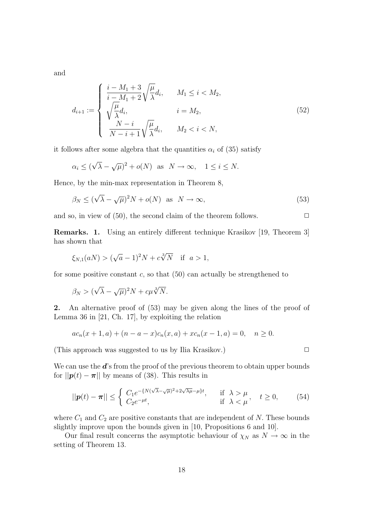and

$$
d_{i+1} := \begin{cases} \frac{i - M_1 + 3}{i - M_1 + 2} \sqrt{\frac{\mu}{\lambda}} d_i, & M_1 \le i < M_2, \\ \sqrt{\frac{\mu}{\lambda}} d_i, & i = M_2, \\ \frac{N - i}{N - i + 1} \sqrt{\frac{\mu}{\lambda}} d_i, & M_2 < i < N, \end{cases} \tag{52}
$$

it follows after some algebra that the quantities  $\alpha_i$  of (35) satisfy

$$
\alpha_i \le (\sqrt{\lambda} - \sqrt{\mu})^2 + o(N)
$$
 as  $N \to \infty$ ,  $1 \le i \le N$ .

Hence, by the min-max representation in Theorem 8,

$$
\beta_N \le (\sqrt{\lambda} - \sqrt{\mu})^2 N + o(N) \quad \text{as} \quad N \to \infty,
$$
\n(53)

and so, in view of  $(50)$ , the second claim of the theorem follows.  $\Box$ 

Remarks. 1. Using an entirely different technique Krasikov [19, Theorem 3] has shown that

$$
\xi_{N,1}(aN) > (\sqrt{a}-1)^2 N + c\sqrt[3]{N}
$$
 if  $a > 1$ ,

for some positive constant  $c$ , so that  $(50)$  can actually be strengthened to

$$
\beta_N > (\sqrt{\lambda} - \sqrt{\mu})^2 N + c\mu \sqrt[3]{N}.
$$

2. An alternative proof of (53) may be given along the lines of the proof of Lemma 36 in [21, Ch. 17], by exploiting the relation

$$
ac_n(x + 1, a) + (n - a - x)c_n(x, a) + xc_n(x - 1, a) = 0, \quad n \ge 0.
$$

(This approach was suggested to us by Ilia Krasikov.)  $\Box$ 

We can use the  $\mathbf{d}'$ 's from the proof of the previous theorem to obtain upper bounds for  $||\mathbf{p}(t) - \boldsymbol{\pi}||$  by means of (38). This results in

$$
||\mathbf{p}(t) - \boldsymbol{\pi}|| \leq \begin{cases} C_1 e^{-\{N(\sqrt{\lambda} - \sqrt{\mu})^2 + 2\sqrt{\lambda\mu} - \mu\}t}, & \text{if } \lambda > \mu \\ C_2 e^{-\mu t}, & \text{if } \lambda < \mu \end{cases}, \quad t \geq 0,
$$
 (54)

where  $C_1$  and  $C_2$  are positive constants that are independent of N. These bounds slightly improve upon the bounds given in [10, Propositions 6 and 10].

Our final result concerns the asymptotic behaviour of  $\chi_N$  as  $N \to \infty$  in the setting of Theorem 13.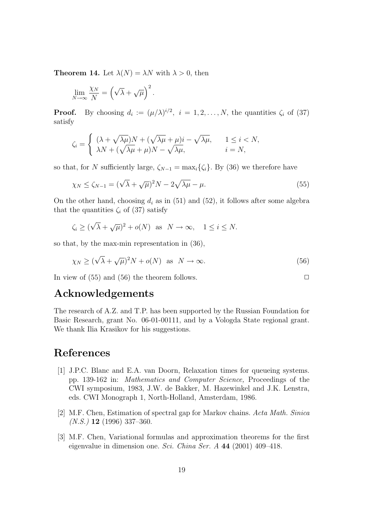**Theorem 14.** Let  $\lambda(N) = \lambda N$  with  $\lambda > 0$ , then

$$
\lim_{N \to \infty} \frac{\chi_N}{N} = \left(\sqrt{\lambda} + \sqrt{\mu}\right)^2.
$$

**Proof.** By choosing  $d_i := (\mu/\lambda)^{i/2}, i = 1, 2, ..., N$ , the quantities  $\zeta_i$  of (37) satisfy

$$
\zeta_i = \begin{cases} (\lambda + \sqrt{\lambda \mu})N + (\sqrt{\lambda \mu} + \mu)i - \sqrt{\lambda \mu}, & 1 \leq i < N, \\ \lambda N + (\sqrt{\lambda \mu} + \mu)N - \sqrt{\lambda \mu}, & i = N, \end{cases}
$$

so that, for N sufficiently large,  $\zeta_{N-1} = \max_i {\zeta_i}$ . By (36) we therefore have

$$
\chi_N \le \zeta_{N-1} = (\sqrt{\lambda} + \sqrt{\mu})^2 N - 2\sqrt{\lambda\mu} - \mu.
$$
\n(55)

On the other hand, choosing  $d_i$  as in (51) and (52), it follows after some algebra that the quantities  $\zeta_i$  of (37) satisfy

$$
\zeta_i \ge (\sqrt{\lambda} + \sqrt{\mu})^2 + o(N)
$$
 as  $N \to \infty$ ,  $1 \le i \le N$ .

so that, by the max-min representation in (36),

$$
\chi_N \ge (\sqrt{\lambda} + \sqrt{\mu})^2 N + o(N) \quad \text{as} \quad N \to \infty. \tag{56}
$$

In view of (55) and (56) the theorem follows.  $\Box$ 

## Acknowledgements

The research of A.Z. and T.P. has been supported by the Russian Foundation for Basic Research, grant No. 06-01-00111, and by a Vologda State regional grant. We thank Ilia Krasikov for his suggestions.

# References

- [1] J.P.C. Blanc and E.A. van Doorn, Relaxation times for queueing systems. pp. 139-162 in: Mathematics and Computer Science, Proceedings of the CWI symposium, 1983, J.W. de Bakker, M. Hazewinkel and J.K. Lenstra, eds. CWI Monograph 1, North-Holland, Amsterdam, 1986.
- [2] M.F. Chen, Estimation of spectral gap for Markov chains. Acta Math. Sinica  $(N.S.)$  12 (1996) 337-360.
- [3] M.F. Chen, Variational formulas and approximation theorems for the first eigenvalue in dimension one. Sci. China Ser. A 44 (2001) 409–418.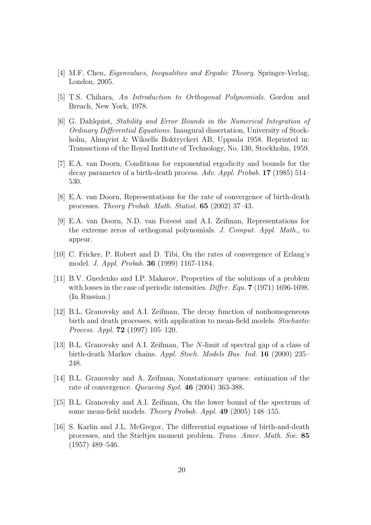- [4] M.F. Chen, Eigenvalues, Inequalities and Ergodic Theory. Springer-Verlag, London, 2005.
- [5] T.S. Chihara, An Introduction to Orthogonal Polynomials. Gordon and Breach, New York, 1978.
- [6] G. Dahlquist, Stability and Error Bounds in the Numerical Integration of Ordinary Differential Equations. Inaugural dissertation, University of Stockholm, Almqvist & Wiksells Boktryckeri AB, Uppsala 1958. Reprinted in: Transactions of the Royal Institute of Technology, No. 130, Stockholm, 1959.
- [7] E.A. van Doorn, Conditions for exponential ergodicity and bounds for the decay parameter of a birth-death process. Adv. Appl. Probab. 17 (1985) 514– 530.
- [8] E.A. van Doorn, Representations for the rate of convergence of birth-death processes. Theory Probab. Math. Statist. 65 (2002) 37–43.
- [9] E.A. van Doorn, N.D. van Foreest and A.I. Zeifman, Representations for the extreme zeros of orthogonal polynomials. J. Comput. Appl. Math., to appear.
- [10] C. Fricker, P. Robert and D. Tibi, On the rates of convergence of Erlang's model. J. Appl. Probab. 36 (1999) 1167-1184.
- [11] B.V. Gnedenko and I.P. Makarov, Properties of the solutions of a problem with losses in the case of periodic intensities. Differ. Equ. 7 (1971) 1696-1698. (In Russian.)
- [12] B.L. Granovsky and A.I. Zeifman, The decay function of nonhomogeneous birth and death processes, with application to mean-field models. Stochastic Process. Appl. 72 (1997) 105–120.
- [13] B.L. Granovsky and A.I. Zeifman, The N-limit of spectral gap of a class of birth-death Markov chains. Appl. Stoch. Models Bus. Ind. 16 (2000) 235– 248.
- [14] B.L. Granovsky and A. Zeifman, Nonstationary queues: estimation of the rate of convergence. Queueing Syst. 46 (2004) 363-388.
- [15] B.L. Granovsky and A.I. Zeifman, On the lower bound of the spectrum of some mean-field models. Theory Probab. Appl. 49 (2005) 148–155.
- [16] S. Karlin and J.L. McGregor, The differential equations of birth-and-death processes, and the Stieltjes moment problem. Trans. Amer. Math. Soc. 85 (1957) 489–546.